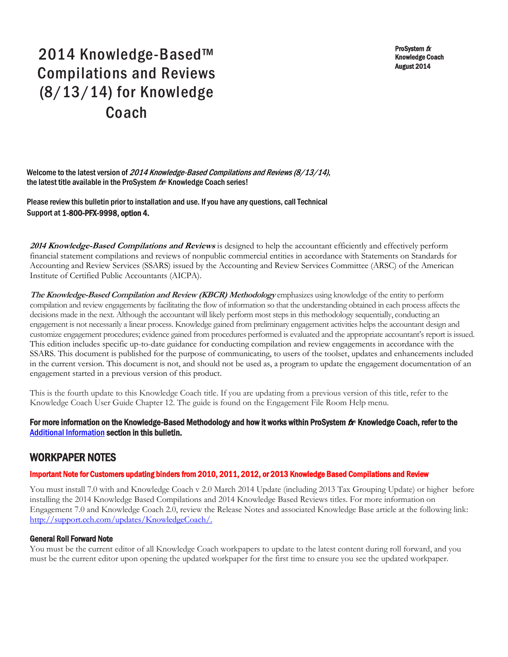ProSystem fx Knowledge Coach August 2014

# 2014 Knowledge-Based™ Compilations and Reviews (8/13/14) for Knowledge Coach

Welcome to the latest version of 2014 Knowledge-Based Compilations and Reviews (8/13/14), the latest title available in the ProSystem  $f_{\text{R}}$  Knowledge Coach series!

Please review this bulletin prior to installation and use. If you have any questions, call Technical Support at 1-800-PFX-9998, option 4.

**<sup>2014</sup> Knowledge-Based Compilations and Reviews** is designed to help the accountant efficiently and effectively perform financial statement compilations and reviews of nonpublic commercial entities in accordance with Statements on Standards for Accounting and Review Services (SSARS) issued by the Accounting and Review Services Committee (ARSC) of the American Institute of Certified Public Accountants (AICPA).

**The Knowledge-Based Compilation and Review (KBCR) Methodology** emphasizes using knowledge of the entity to perform compilation and review engagements by facilitating the flow of information so that the understanding obtained in each process affects the decisions made in the next. Although the accountant will likely perform most steps in this methodology sequentially, conducting an engagement is not necessarily a linear process. Knowledge gained from preliminary engagement activities helps the accountant design and customize engagement procedures; evidence gained from procedures performed is evaluated and the appropriate accountant's report is issued. This edition includes specific up-to-date guidance for conducting compilation and review engagements in accordance with the SSARS. This document is published for the purpose of communicating, to users of the toolset, updates and enhancements included in the current version. This document is not, and should not be used as, a program to update the engagement documentation of an engagement started in a previous version of this product.

This is the fourth update to this Knowledge Coach title. If you are updating from a previous version of this title, refer to the Knowledge Coach User Guide Chapter 12. The guide is found on the Engagement File Room Help menu.

#### For more information on the Knowledge-Based Methodology and how it works within ProSystem  $f_\text{R}$  Knowledge Coach, refer to the [Additional Information s](#page-2-0)ection in this bulletin.

### WORKPAPER NOTES

#### Important Note for Customers updating binders from 2010, 2011, 2012, or 2013 Knowledge Based Compilations and Review

You must install 7.0 with and Knowledge Coach v 2.0 March 2014 Update (including 2013 Tax Grouping Update) or higher before installing the 2014 Knowledge Based Compilations and 2014 Knowledge Based Reviews titles. For more information on Engagement 7.0 and Knowledge Coach 2.0, review the Release Notes and associated Knowledge Base article at the following link: [http://support.cch.com/updates/KnowledgeCoach/.](http://support.cch.com/updates/KnowledgeCoach/) 

#### General Roll Forward Note

You must be the current editor of all Knowledge Coach workpapers to update to the latest content during roll forward, and you must be the current editor upon opening the updated workpaper for the first time to ensure you see the updated workpaper.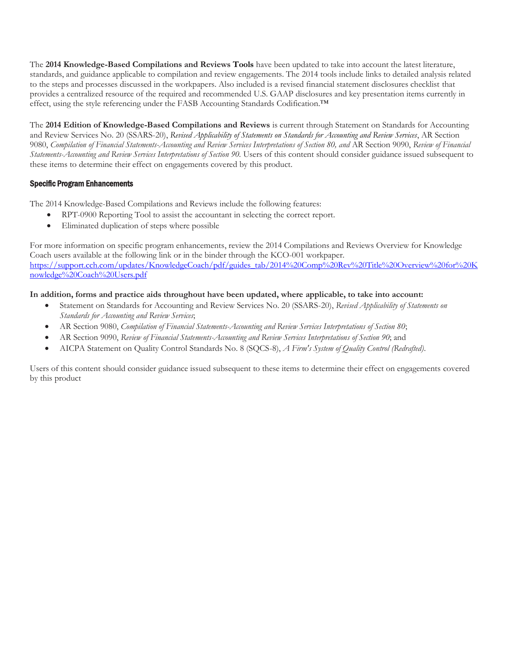The **2014 Knowledge-Based Compilations and Reviews Tools** have been updated to take into account the latest literature, standards, and guidance applicable to compilation and review engagements. The 2014 tools include links to detailed analysis related to the steps and processes discussed in the workpapers. Also included is a revised financial statement disclosures checklist that provides a centralized resource of the required and recommended U.S. GAAP disclosures and key presentation items currently in effect, using the style referencing under the FASB Accounting Standards Codification.™

The **2014 Edition of Knowledge-Based Compilations and Reviews** is current through Statement on Standards for Accounting and Review Services No. 20 (SSARS-20), *Revised Applicability of Statements on Standards for Accounting and Review Services*, AR Section 9080, *Compilation of Financial Statements-Accounting and Review Services Interpretations of Section 80, and* AR Section 9090, *Review of Financial Statements-Accounting and Review Services Interpretations of Section 90.* Users of this content should consider guidance issued subsequent to these items to determine their effect on engagements covered by this product.

#### Specific Program Enhancements

The 2014 Knowledge-Based Compilations and Reviews include the following features:

- RPT-0900 Reporting Tool to assist the accountant in selecting the correct report.
- Eliminated duplication of steps where possible

For more information on specific program enhancements, review the 2014 Compilations and Reviews Overview for Knowledge Coach users available at the following link or in the binder through the KCO-001 workpaper. [https://support.cch.com/updates/KnowledgeCoach/pdf/guides\\_tab/2014%20Comp%20Rev%20Title%20Overview%20for%20K](https://support.cch.com/updates/KnowledgeCoach/pdf/guides_tab/2014%20Comp%20Rev%20Title%20Overview%20for%20Knowledge%20Coach%20Users.pdf) [nowledge%20Coach%20Users.pdf](https://support.cch.com/updates/KnowledgeCoach/pdf/guides_tab/2014%20Comp%20Rev%20Title%20Overview%20for%20Knowledge%20Coach%20Users.pdf)

#### **In addition, forms and practice aids throughout have been updated, where applicable, to take into account:**

- Statement on Standards for Accounting and Review Services No. 20 (SSARS-20), *Revised Applicability of Statements on Standards for Accounting and Review Services*;
- AR Section 9080, *Compilation of Financial Statements-Accounting and Review Services Interpretations of Section 80*;
- AR Section 9090, *Review of Financial Statements-Accounting and Review Services Interpretations of Section 90*; and
- AICPA Statement on Quality Control Standards No. 8 (SQCS-8), *A Firm's System of Quality Control (Redrafted)*.

Users of this content should consider guidance issued subsequent to these items to determine their effect on engagements covered by this product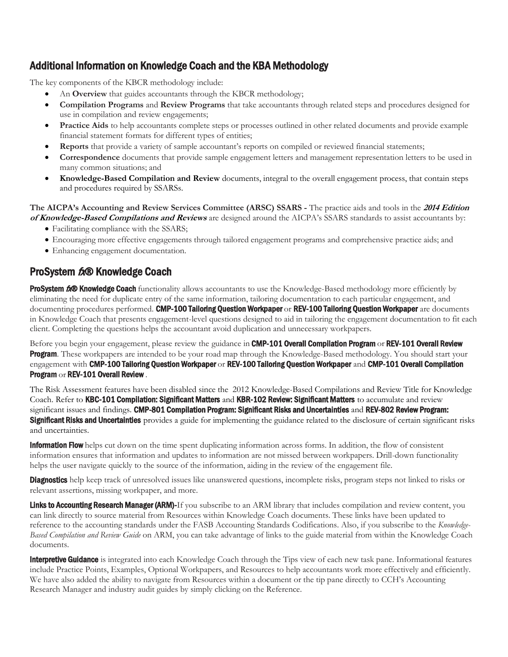# <span id="page-2-0"></span>Additional Information on Knowledge Coach and the KBA Methodology

The key components of the KBCR methodology include:

- An **Overview** that guides accountants through the KBCR methodology;
- **Compilation Programs** and **Review Programs** that take accountants through related steps and procedures designed for use in compilation and review engagements;
- **Practice Aids** to help accountants complete steps or processes outlined in other related documents and provide example financial statement formats for different types of entities;
- **Reports** that provide a variety of sample accountant's reports on compiled or reviewed financial statements;
- **Correspondence** documents that provide sample engagement letters and management representation letters to be used in many common situations; and
- **Knowledge-Based Compilation and Review** documents, integral to the overall engagement process, that contain steps and procedures required by SSARSs.

#### **The AICPA's Accounting and Review Services Committee (ARSC) SSARS -** The practice aids and tools in the **2014 Edition of Knowledge-Based Compilations and Reviews** are designed around the AICPA's SSARS standards to assist accountants by:

- Facilitating compliance with the SSARS;
- Encouraging more effective engagements through tailored engagement programs and comprehensive practice aids; and
- Enhancing engagement documentation.

## ProSystem fx® Knowledge Coach

**ProSystem 6.<sup>®</sup> Knowledge Coach** functionality allows accountants to use the Knowledge-Based methodology more efficiently by eliminating the need for duplicate entry of the same information, tailoring documentation to each particular engagement, and documenting procedures performed. CMP-100 Tailoring Question Workpaper or REV-100 Tailoring Question Workpaper are documents in Knowledge Coach that presents engagement-level questions designed to aid in tailoring the engagement documentation to fit each client. Completing the questions helps the accountant avoid duplication and unnecessary workpapers.

Before you begin your engagement, please review the guidance in CMP-101 Overall Compilation Program or REV-101 Overall Review **Program**. These workpapers are intended to be your road map through the Knowledge-Based methodology. You should start your engagement with CMP-100 Tailoring Question Workpaper or REV-100 Tailoring Question Workpaper and CMP-101 Overall Compilation Program or REV-101 Overall Review .

The Risk Assessment features have been disabled since the 2012 Knowledge-Based Compilations and Review Title for Knowledge Coach. Refer to KBC-101 Compilation: Significant Matters and KBR-102 Review: Significant Matters to accumulate and review significant issues and findings. CMP-801 Compilation Program: Significant Risks and Uncertainties and REV-802 Review Program: Significant Risks and Uncertainties provides a guide for implementing the guidance related to the disclosure of certain significant risks and uncertainties.

**Information Flow** helps cut down on the time spent duplicating information across forms. In addition, the flow of consistent information ensures that information and updates to information are not missed between workpapers. Drill-down functionality helps the user navigate quickly to the source of the information, aiding in the review of the engagement file.

Diagnostics help keep track of unresolved issues like unanswered questions, incomplete risks, program steps not linked to risks or relevant assertions, missing workpaper, and more.

Links to Accounting Research Manager (ARM)-If you subscribe to an ARM library that includes compilation and review content, you can link directly to source material from Resources within Knowledge Coach documents. These links have been updated to reference to the accounting standards under the FASB Accounting Standards Codifications. Also, if you subscribe to the *Knowledge-Based Compilation and Review Guide* on ARM, you can take advantage of links to the guide material from within the Knowledge Coach documents.

Interpretive Guidance is integrated into each Knowledge Coach through the Tips view of each new task pane. Informational features include Practice Points, Examples, Optional Workpapers, and Resources to help accountants work more effectively and efficiently. We have also added the ability to navigate from Resources within a document or the tip pane directly to CCH's Accounting Research Manager and industry audit guides by simply clicking on the Reference.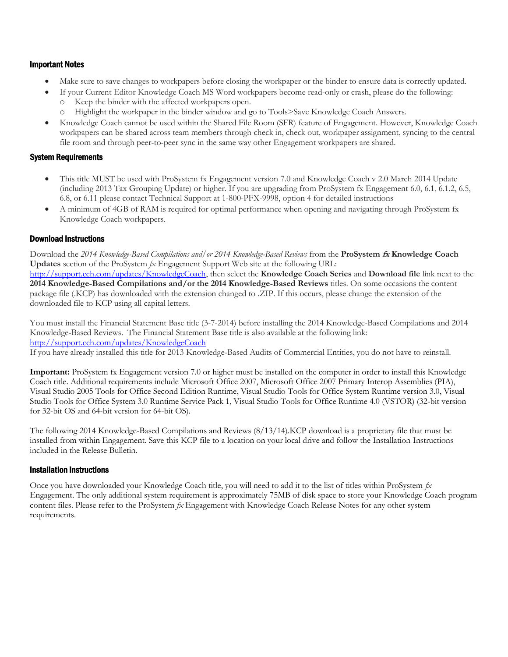#### Important Notes

- Make sure to save changes to workpapers before closing the workpaper or the binder to ensure data is correctly updated.
- If your Current Editor Knowledge Coach MS Word workpapers become read-only or crash, please do the following: o Keep the binder with the affected workpapers open.
	- o Highlight the workpaper in the binder window and go to Tools>Save Knowledge Coach Answers.
- Knowledge Coach cannot be used within the Shared File Room (SFR) feature of Engagement. However, Knowledge Coach workpapers can be shared across team members through check in, check out, workpaper assignment, syncing to the central file room and through peer-to-peer sync in the same way other Engagement workpapers are shared.

#### System Requirements

- This title MUST be used with ProSystem fx Engagement version 7.0 and Knowledge Coach v 2.0 March 2014 Update (including 2013 Tax Grouping Update) or higher. If you are upgrading from ProSystem fx Engagement 6.0, 6.1, 6.1.2, 6.5, 6.8, or 6.11 please contact Technical Support at 1-800-PFX-9998, option 4 for detailed instructions
- A minimum of 4GB of RAM is required for optimal performance when opening and navigating through ProSystem fx Knowledge Coach workpapers.

#### Download Instructions

Download the *2014 Knowledge-Based Compilations and/or 2014 Knowledge-Based Reviews* from the **ProSystem fx Knowledge Coach Updates** section of the ProSystem *fx* Engagement Support Web site at the following URL:

[http://support.cch.com/updates/KnowledgeCoach,](http://support.cch.com/updates/KnowledgeCoach) then select the **Knowledge Coach Series** and **Download file** link next to the **2014 Knowledge-Based Compilations and/or the 2014 Knowledge-Based Reviews** titles. On some occasions the content package file (.KCP) has downloaded with the extension changed to .ZIP. If this occurs, please change the extension of the downloaded file to KCP using all capital letters.

You must install the Financial Statement Base title (3-7-2014) before installing the 2014 Knowledge-Based Compilations and 2014 Knowledge-Based Reviews. The Financial Statement Base title is also available at the following link: <http://support.cch.com/updates/KnowledgeCoach>

If you have already installed this title for 2013 Knowledge-Based Audits of Commercial Entities, you do not have to reinstall.

**Important:** ProSystem fx Engagement version 7.0 or higher must be installed on the computer in order to install this Knowledge Coach title. Additional requirements include Microsoft Office 2007, Microsoft Office 2007 Primary Interop Assemblies (PIA), Visual Studio 2005 Tools for Office Second Edition Runtime, Visual Studio Tools for Office System Runtime version 3.0, Visual Studio Tools for Office System 3.0 Runtime Service Pack 1, Visual Studio Tools for Office Runtime 4.0 (VSTOR) (32-bit version for 32-bit OS and 64-bit version for 64-bit OS).

The following 2014 Knowledge-Based Compilations and Reviews (8/13/14).KCP download is a proprietary file that must be installed from within Engagement. Save this KCP file to a location on your local drive and follow the Installation Instructions included in the Release Bulletin.

#### Installation Instructions

Once you have downloaded your Knowledge Coach title, you will need to add it to the list of titles within ProSystem *fx*  Engagement. The only additional system requirement is approximately 75MB of disk space to store your Knowledge Coach program content files. Please refer to the ProSystem *fx* Engagement with Knowledge Coach Release Notes for any other system requirements.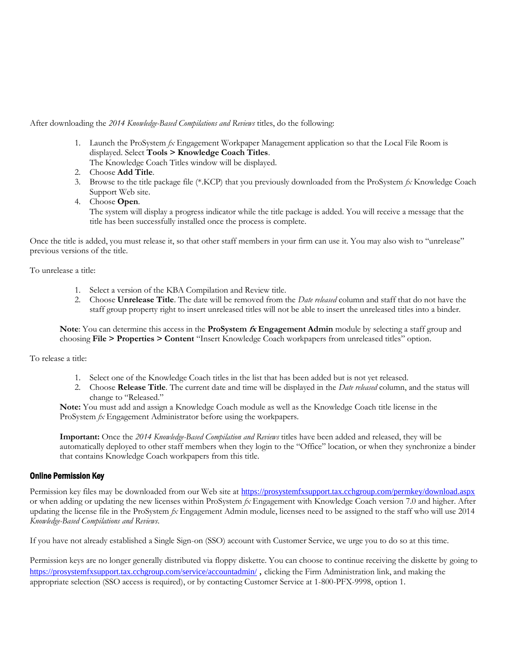After downloading the *2014 Knowledge-Based Compilations and Reviews* titles, do the following:

- 1. Launch the ProSystem *fx* Engagement Workpaper Management application so that the Local File Room is displayed. Select **Tools > Knowledge Coach Titles**. The Knowledge Coach Titles window will be displayed.
- 2. Choose **Add Title**.
- 3. Browse to the title package file (\*.KCP) that you previously downloaded from the ProSystem *fx* Knowledge Coach Support Web site.
- 4. Choose **Open**. The system will display a progress indicator while the title package is added. You will receive a message that the title has been successfully installed once the process is complete.

Once the title is added, you must release it, so that other staff members in your firm can use it. You may also wish to "unrelease" previous versions of the title.

To unrelease a title:

- 1. Select a version of the KBA Compilation and Review title.
- 2. Choose **Unrelease Title**. The date will be removed from the *Date released* column and staff that do not have the staff group property right to insert unreleased titles will not be able to insert the unreleased titles into a binder.

**Note**: You can determine this access in the **ProSystem fx Engagement Admin** module by selecting a staff group and choosing **File > Properties > Content** "Insert Knowledge Coach workpapers from unreleased titles" option.

To release a title:

- 1. Select one of the Knowledge Coach titles in the list that has been added but is not yet released.
- 2. Choose **Release Title**. The current date and time will be displayed in the *Date released* column, and the status will change to "Released."

**Note:** You must add and assign a Knowledge Coach module as well as the Knowledge Coach title license in the ProSystem *fx* Engagement Administrator before using the workpapers.

**Important:** Once the *2014 Knowledge-Based Compilation and Reviews* titles have been added and released, they will be automatically deployed to other staff members when they login to the "Office" location, or when they synchronize a binder that contains Knowledge Coach workpapers from this title.

#### Online Permission Key

Permission key files may be downloaded from our Web site at https://prosystemfxsupport.tax.cchgroup.com/permkey/download.aspx or when adding or updating the new licenses within ProSystem *fx* Engagement with Knowledge Coach version 7.0 and higher. After updating the license file in the ProSystem *fx* Engagement Admin module, licenses need to be assigned to the staff who will use 2014 *Knowledge-Based Compilations and Reviews*.

If you have not already established a Single Sign-on (SSO) account with Customer Service, we urge you to do so at this time.

Permission keys are no longer generally distributed via floppy diskette. You can choose to continue receiving the diskette by going to <https://prosystemfxsupport.tax.cchgroup.com/service/accountadmin/> , clicking the Firm Administration link, and making the appropriate selection (SSO access is required), or by contacting Customer Service at 1-800-PFX-9998, option 1.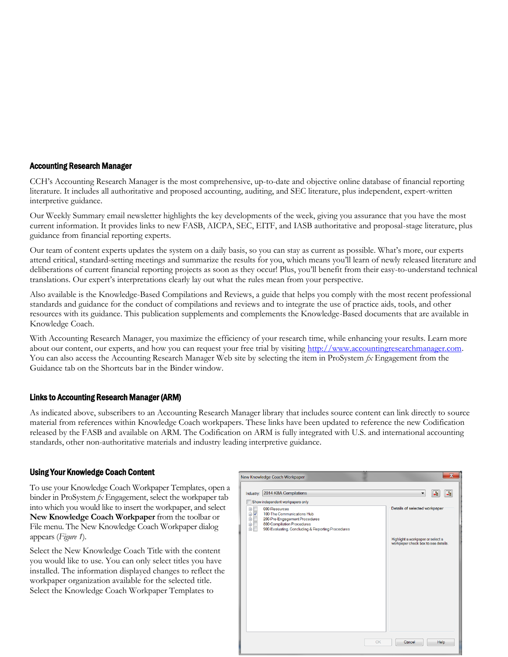#### Accounting Research Manager

CCH's Accounting Research Manager is the most comprehensive, up-to-date and objective online database of financial reporting literature. It includes all authoritative and proposed accounting, auditing, and SEC literature, plus independent, expert-written interpretive guidance.

Our Weekly Summary email newsletter highlights the key developments of the week, giving you assurance that you have the most current information. It provides links to new FASB, AICPA, SEC, EITF, and IASB authoritative and proposal-stage literature, plus guidance from financial reporting experts.

Our team of content experts updates the system on a daily basis, so you can stay as current as possible. What's more, our experts attend critical, standard-setting meetings and summarize the results for you, which means you'll learn of newly released literature and deliberations of current financial reporting projects as soon as they occur! Plus, you'll benefit from their easy-to-understand technical translations. Our expert's interpretations clearly lay out what the rules mean from your perspective.

Also available is the Knowledge-Based Compilations and Reviews, a guide that helps you comply with the most recent professional standards and guidance for the conduct of compilations and reviews and to integrate the use of practice aids, tools, and other resources with its guidance. This publication supplements and complements the Knowledge-Based documents that are available in Knowledge Coach.

With Accounting Research Manager, you maximize the efficiency of your research time, while enhancing your results. Learn more about our content, our experts, and how you can request your free trial by visiting http://www.accountingresearchmanager.com. You can also access the Accounting Research Manager Web site by selecting the item in ProSystem  $\beta x$  Engagement from the Guidance tab on the Shortcuts bar in the Binder window.

#### Links to Accounting Research Manager (ARM)

As indicated above, subscribers to an Accounting Research Manager library that includes source content can link directly to source material from references within Knowledge Coach workpapers. These links have been updated to reference the new Codification released by the FASB and available on ARM. The Codification on ARM is fully integrated with U.S. and international accounting standards, other non-authoritative materials and industry leading interpretive guidance.

#### Using Your Knowledge Coach Content

To use your Knowledge Coach Workpaper Templates, open a binder in ProSystem *fx* Engagement, select the workpaper tab into which you would like to insert the workpaper, and select **New Knowledge Coach Workpaper** from the toolbar or File menu. The New Knowledge Coach Workpaper dialog appears (*Figure 1*).

Select the New Knowledge Coach Title with the content you would like to use. You can only select titles you have installed. The information displayed changes to reflect the workpaper organization available for the selected title. Select the Knowledge Coach Workpaper Templates to